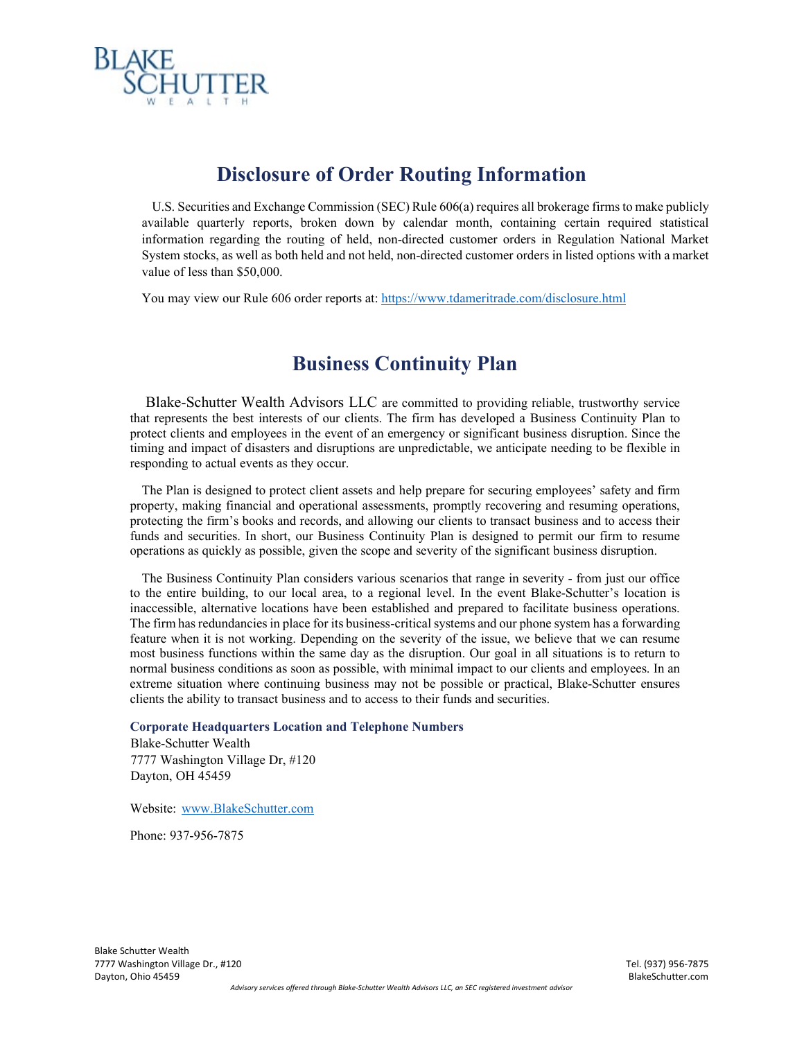

# **Disclosure of Order Routing Information**

 U.S. Securities and Exchange Commission (SEC) Rule 606(a) requires all brokerage firms to make publicly available quarterly reports, broken down by calendar month, containing certain required statistical information regarding the routing of held, non-directed customer orders in Regulation National Market System stocks, as well as both held and not held, non-directed customer orders in listed options with a market value of less than \$50,000.

You may view our Rule 606 order reports at[: https://www.tdameritrade.com/disclosure.html](https://www.tdameritrade.com/disclosure.html)

## **Business Continuity Plan**

Blake-Schutter Wealth Advisors LLC are committed to providing reliable, trustworthy service that represents the best interests of our clients. The firm has developed a Business Continuity Plan to protect clients and employees in the event of an emergency or significant business disruption. Since the timing and impact of disasters and disruptions are unpredictable, we anticipate needing to be flexible in responding to actual events as they occur.

The Plan is designed to protect client assets and help prepare for securing employees' safety and firm property, making financial and operational assessments, promptly recovering and resuming operations, protecting the firm's books and records, and allowing our clients to transact business and to access their funds and securities. In short, our Business Continuity Plan is designed to permit our firm to resume operations as quickly as possible, given the scope and severity of the significant business disruption.

The Business Continuity Plan considers various scenarios that range in severity - from just our office to the entire building, to our local area, to a regional level. In the event Blake-Schutter's location is inaccessible, alternative locations have been established and prepared to facilitate business operations. The firm has redundancies in place for its business-critical systems and our phone system has a forwarding feature when it is not working. Depending on the severity of the issue, we believe that we can resume most business functions within the same day as the disruption. Our goal in all situations is to return to normal business conditions as soon as possible, with minimal impact to our clients and employees. In an extreme situation where continuing business may not be possible or practical, Blake-Schutter ensures clients the ability to transact business and to access to their funds and securities.

#### **Corporate Headquarters Location and Telephone Numbers**

Blake-Schutter Wealth 7777 Washington Village Dr, #120 Dayton, OH 45459

Website: [www.BlakeSchutter.com](http://www.blakeschutter.com/)

Phone: 937-956-7875